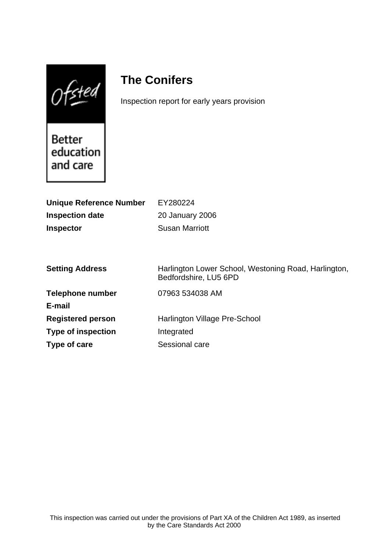$0$ fsted

# **The Conifers**

Inspection report for early years provision

**Better** education and care

| <b>Unique Reference Number</b> | EY280224                                                                      |
|--------------------------------|-------------------------------------------------------------------------------|
| <b>Inspection date</b>         | 20 January 2006                                                               |
| <b>Inspector</b>               | <b>Susan Marriott</b>                                                         |
|                                |                                                                               |
|                                |                                                                               |
| <b>Setting Address</b>         | Harlington Lower School, Westoning Road, Harlington,<br>Bedfordshire, LU5 6PD |
| <b>Telephone number</b>        | 07963 534038 AM                                                               |
| E-mail                         |                                                                               |
| <b>Registered person</b>       | Harlington Village Pre-School                                                 |
| <b>Type of inspection</b>      | Integrated                                                                    |
| Type of care                   | Sessional care                                                                |
|                                |                                                                               |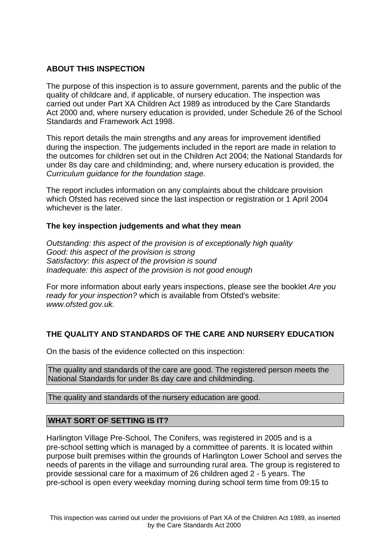## **ABOUT THIS INSPECTION**

The purpose of this inspection is to assure government, parents and the public of the quality of childcare and, if applicable, of nursery education. The inspection was carried out under Part XA Children Act 1989 as introduced by the Care Standards Act 2000 and, where nursery education is provided, under Schedule 26 of the School Standards and Framework Act 1998.

This report details the main strengths and any areas for improvement identified during the inspection. The judgements included in the report are made in relation to the outcomes for children set out in the Children Act 2004; the National Standards for under 8s day care and childminding; and, where nursery education is provided, the Curriculum guidance for the foundation stage.

The report includes information on any complaints about the childcare provision which Ofsted has received since the last inspection or registration or 1 April 2004 whichever is the later.

### **The key inspection judgements and what they mean**

Outstanding: this aspect of the provision is of exceptionally high quality Good: this aspect of the provision is strong Satisfactory: this aspect of the provision is sound Inadequate: this aspect of the provision is not good enough

For more information about early years inspections, please see the booklet Are you ready for your inspection? which is available from Ofsted's website: www.ofsted.gov.uk.

### **THE QUALITY AND STANDARDS OF THE CARE AND NURSERY EDUCATION**

On the basis of the evidence collected on this inspection:

The quality and standards of the care are good. The registered person meets the National Standards for under 8s day care and childminding.

The quality and standards of the nursery education are good.

### **WHAT SORT OF SETTING IS IT?**

Harlington Village Pre-School, The Conifers, was registered in 2005 and is a pre-school setting which is managed by a committee of parents. It is located within purpose built premises within the grounds of Harlington Lower School and serves the needs of parents in the village and surrounding rural area. The group is registered to provide sessional care for a maximum of 26 children aged 2 - 5 years. The pre-school is open every weekday morning during school term time from 09:15 to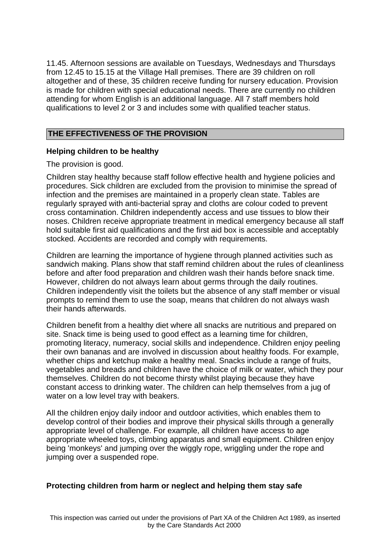11.45. Afternoon sessions are available on Tuesdays, Wednesdays and Thursdays from 12.45 to 15.15 at the Village Hall premises. There are 39 children on roll altogether and of these, 35 children receive funding for nursery education. Provision is made for children with special educational needs. There are currently no children attending for whom English is an additional language. All 7 staff members hold qualifications to level 2 or 3 and includes some with qualified teacher status.

## **THE EFFECTIVENESS OF THE PROVISION**

### **Helping children to be healthy**

The provision is good.

Children stay healthy because staff follow effective health and hygiene policies and procedures. Sick children are excluded from the provision to minimise the spread of infection and the premises are maintained in a properly clean state. Tables are regularly sprayed with anti-bacterial spray and cloths are colour coded to prevent cross contamination. Children independently access and use tissues to blow their noses. Children receive appropriate treatment in medical emergency because all staff hold suitable first aid qualifications and the first aid box is accessible and acceptably stocked. Accidents are recorded and comply with requirements.

Children are learning the importance of hygiene through planned activities such as sandwich making. Plans show that staff remind children about the rules of cleanliness before and after food preparation and children wash their hands before snack time. However, children do not always learn about germs through the daily routines. Children independently visit the toilets but the absence of any staff member or visual prompts to remind them to use the soap, means that children do not always wash their hands afterwards.

Children benefit from a healthy diet where all snacks are nutritious and prepared on site. Snack time is being used to good effect as a learning time for children, promoting literacy, numeracy, social skills and independence. Children enjoy peeling their own bananas and are involved in discussion about healthy foods. For example, whether chips and ketchup make a healthy meal. Snacks include a range of fruits, vegetables and breads and children have the choice of milk or water, which they pour themselves. Children do not become thirsty whilst playing because they have constant access to drinking water. The children can help themselves from a jug of water on a low level tray with beakers.

All the children enjoy daily indoor and outdoor activities, which enables them to develop control of their bodies and improve their physical skills through a generally appropriate level of challenge. For example, all children have access to age appropriate wheeled toys, climbing apparatus and small equipment. Children enjoy being 'monkeys' and jumping over the wiggly rope, wriggling under the rope and jumping over a suspended rope.

## **Protecting children from harm or neglect and helping them stay safe**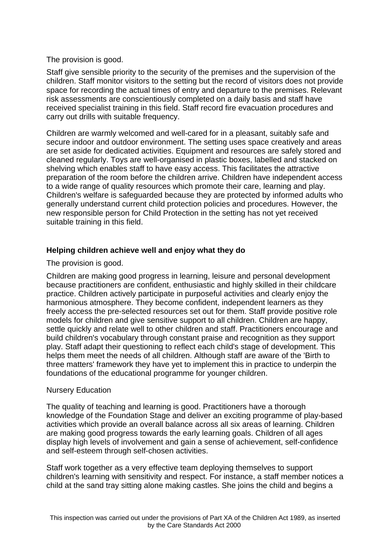## The provision is good.

Staff give sensible priority to the security of the premises and the supervision of the children. Staff monitor visitors to the setting but the record of visitors does not provide space for recording the actual times of entry and departure to the premises. Relevant risk assessments are conscientiously completed on a daily basis and staff have received specialist training in this field. Staff record fire evacuation procedures and carry out drills with suitable frequency.

Children are warmly welcomed and well-cared for in a pleasant, suitably safe and secure indoor and outdoor environment. The setting uses space creatively and areas are set aside for dedicated activities. Equipment and resources are safely stored and cleaned regularly. Toys are well-organised in plastic boxes, labelled and stacked on shelving which enables staff to have easy access. This facilitates the attractive preparation of the room before the children arrive. Children have independent access to a wide range of quality resources which promote their care, learning and play. Children's welfare is safeguarded because they are protected by informed adults who generally understand current child protection policies and procedures. However, the new responsible person for Child Protection in the setting has not yet received suitable training in this field.

## **Helping children achieve well and enjoy what they do**

The provision is good.

Children are making good progress in learning, leisure and personal development because practitioners are confident, enthusiastic and highly skilled in their childcare practice. Children actively participate in purposeful activities and clearly enjoy the harmonious atmosphere. They become confident, independent learners as they freely access the pre-selected resources set out for them. Staff provide positive role models for children and give sensitive support to all children. Children are happy, settle quickly and relate well to other children and staff. Practitioners encourage and build children's vocabulary through constant praise and recognition as they support play. Staff adapt their questioning to reflect each child's stage of development. This helps them meet the needs of all children. Although staff are aware of the 'Birth to three matters' framework they have yet to implement this in practice to underpin the foundations of the educational programme for younger children.

### Nursery Education

The quality of teaching and learning is good. Practitioners have a thorough knowledge of the Foundation Stage and deliver an exciting programme of play-based activities which provide an overall balance across all six areas of learning. Children are making good progress towards the early learning goals. Children of all ages display high levels of involvement and gain a sense of achievement, self-confidence and self-esteem through self-chosen activities.

Staff work together as a very effective team deploying themselves to support children's learning with sensitivity and respect. For instance, a staff member notices a child at the sand tray sitting alone making castles. She joins the child and begins a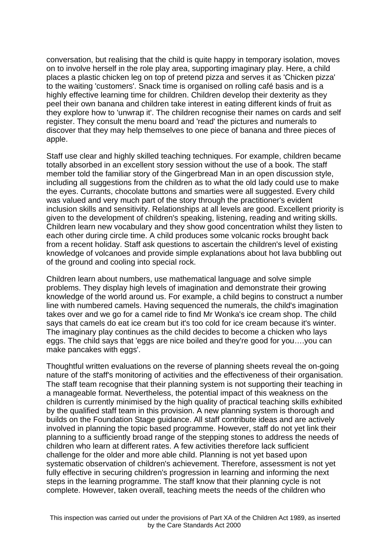conversation, but realising that the child is quite happy in temporary isolation, moves on to involve herself in the role play area, supporting imaginary play. Here, a child places a plastic chicken leg on top of pretend pizza and serves it as 'Chicken pizza' to the waiting 'customers'. Snack time is organised on rolling café basis and is a highly effective learning time for children. Children develop their dexterity as they peel their own banana and children take interest in eating different kinds of fruit as they explore how to 'unwrap it'. The children recognise their names on cards and self register. They consult the menu board and 'read' the pictures and numerals to discover that they may help themselves to one piece of banana and three pieces of apple.

Staff use clear and highly skilled teaching techniques. For example, children became totally absorbed in an excellent story session without the use of a book. The staff member told the familiar story of the Gingerbread Man in an open discussion style, including all suggestions from the children as to what the old lady could use to make the eyes. Currants, chocolate buttons and smarties were all suggested. Every child was valued and very much part of the story through the practitioner's evident inclusion skills and sensitivity. Relationships at all levels are good. Excellent priority is given to the development of children's speaking, listening, reading and writing skills. Children learn new vocabulary and they show good concentration whilst they listen to each other during circle time. A child produces some volcanic rocks brought back from a recent holiday. Staff ask questions to ascertain the children's level of existing knowledge of volcanoes and provide simple explanations about hot lava bubbling out of the ground and cooling into special rock.

Children learn about numbers, use mathematical language and solve simple problems. They display high levels of imagination and demonstrate their growing knowledge of the world around us. For example, a child begins to construct a number line with numbered camels. Having sequenced the numerals, the child's imagination takes over and we go for a camel ride to find Mr Wonka's ice cream shop. The child says that camels do eat ice cream but it's too cold for ice cream because it's winter. The imaginary play continues as the child decides to become a chicken who lays eggs. The child says that 'eggs are nice boiled and they're good for you….you can make pancakes with eggs'.

Thoughtful written evaluations on the reverse of planning sheets reveal the on-going nature of the staff's monitoring of activities and the effectiveness of their organisation. The staff team recognise that their planning system is not supporting their teaching in a manageable format. Nevertheless, the potential impact of this weakness on the children is currently minimised by the high quality of practical teaching skills exhibited by the qualified staff team in this provision. A new planning system is thorough and builds on the Foundation Stage guidance. All staff contribute ideas and are actively involved in planning the topic based programme. However, staff do not yet link their planning to a sufficiently broad range of the stepping stones to address the needs of children who learn at different rates. A few activities therefore lack sufficient challenge for the older and more able child. Planning is not yet based upon systematic observation of children's achievement. Therefore, assessment is not yet fully effective in securing children's progression in learning and informing the next steps in the learning programme. The staff know that their planning cycle is not complete. However, taken overall, teaching meets the needs of the children who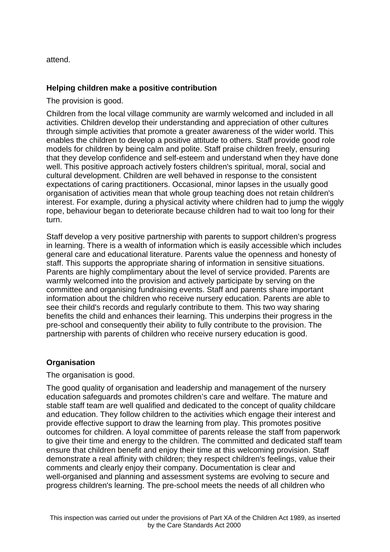attend.

## **Helping children make a positive contribution**

The provision is good.

Children from the local village community are warmly welcomed and included in all activities. Children develop their understanding and appreciation of other cultures through simple activities that promote a greater awareness of the wider world. This enables the children to develop a positive attitude to others. Staff provide good role models for children by being calm and polite. Staff praise children freely, ensuring that they develop confidence and self-esteem and understand when they have done well. This positive approach actively fosters children's spiritual, moral, social and cultural development. Children are well behaved in response to the consistent expectations of caring practitioners. Occasional, minor lapses in the usually good organisation of activities mean that whole group teaching does not retain children's interest. For example, during a physical activity where children had to jump the wiggly rope, behaviour began to deteriorate because children had to wait too long for their turn.

Staff develop a very positive partnership with parents to support children's progress in learning. There is a wealth of information which is easily accessible which includes general care and educational literature. Parents value the openness and honesty of staff. This supports the appropriate sharing of information in sensitive situations. Parents are highly complimentary about the level of service provided. Parents are warmly welcomed into the provision and actively participate by serving on the committee and organising fundraising events. Staff and parents share important information about the children who receive nursery education. Parents are able to see their child's records and regularly contribute to them. This two way sharing benefits the child and enhances their learning. This underpins their progress in the pre-school and consequently their ability to fully contribute to the provision. The partnership with parents of children who receive nursery education is good.

### **Organisation**

The organisation is good.

The good quality of organisation and leadership and management of the nursery education safeguards and promotes children's care and welfare. The mature and stable staff team are well qualified and dedicated to the concept of quality childcare and education. They follow children to the activities which engage their interest and provide effective support to draw the learning from play. This promotes positive outcomes for children. A loyal committee of parents release the staff from paperwork to give their time and energy to the children. The committed and dedicated staff team ensure that children benefit and enjoy their time at this welcoming provision. Staff demonstrate a real affinity with children; they respect children's feelings, value their comments and clearly enjoy their company. Documentation is clear and well-organised and planning and assessment systems are evolving to secure and progress children's learning. The pre-school meets the needs of all children who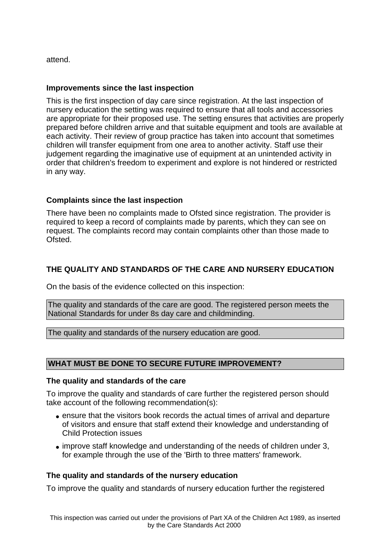attend.

## **Improvements since the last inspection**

This is the first inspection of day care since registration. At the last inspection of nursery education the setting was required to ensure that all tools and accessories are appropriate for their proposed use. The setting ensures that activities are properly prepared before children arrive and that suitable equipment and tools are available at each activity. Their review of group practice has taken into account that sometimes children will transfer equipment from one area to another activity. Staff use their judgement regarding the imaginative use of equipment at an unintended activity in order that children's freedom to experiment and explore is not hindered or restricted in any way.

## **Complaints since the last inspection**

There have been no complaints made to Ofsted since registration. The provider is required to keep a record of complaints made by parents, which they can see on request. The complaints record may contain complaints other than those made to Ofsted.

## **THE QUALITY AND STANDARDS OF THE CARE AND NURSERY EDUCATION**

On the basis of the evidence collected on this inspection:

The quality and standards of the care are good. The registered person meets the National Standards for under 8s day care and childminding.

The quality and standards of the nursery education are good.

## **WHAT MUST BE DONE TO SECURE FUTURE IMPROVEMENT?**

#### **The quality and standards of the care**

To improve the quality and standards of care further the registered person should take account of the following recommendation(s):

- ensure that the visitors book records the actual times of arrival and departure of visitors and ensure that staff extend their knowledge and understanding of Child Protection issues
- improve staff knowledge and understanding of the needs of children under 3, for example through the use of the 'Birth to three matters' framework.

### **The quality and standards of the nursery education**

To improve the quality and standards of nursery education further the registered